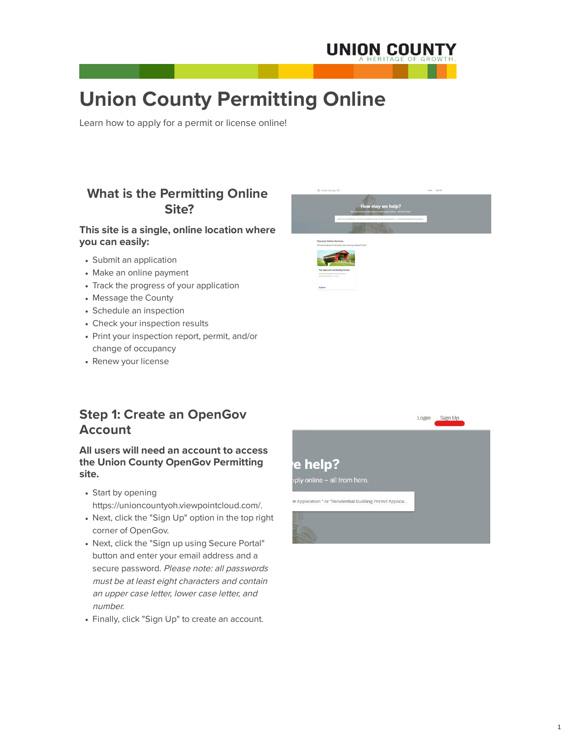## **What is the Permitting Online Site?**

- Submit an application
- Make an online payment
- Track the progress of your application
- Message the County
- Schedule an inspection
- Check your inspection results
- Print your inspection report, permit, and/or change of occupancy
- Renew your license



### **This site is a single, online location where you can easily:**

### **Step 1: Create an OpenGov Account**

**All users will need an account to access the Union County OpenGov Permitting site.**

• Start by opening

https://unioncountyoh.viewpointcloud.com/.

- Next, click the "Sign Up" option in the top right corner of OpenGov.
- Next, click the "Sign up using Secure Portal" button and enter your email address and a secure password. Please note: all passwords must be at least eight characters and contain an upper case letter, lower case letter, and number.
- Finally, click "Sign Up" to create an account.

# e help?

oply online - all from here.

w Application " or "Residential Building Permit Applica...



# **Union County Permitting Online**

Learn how to apply for a permit or license online!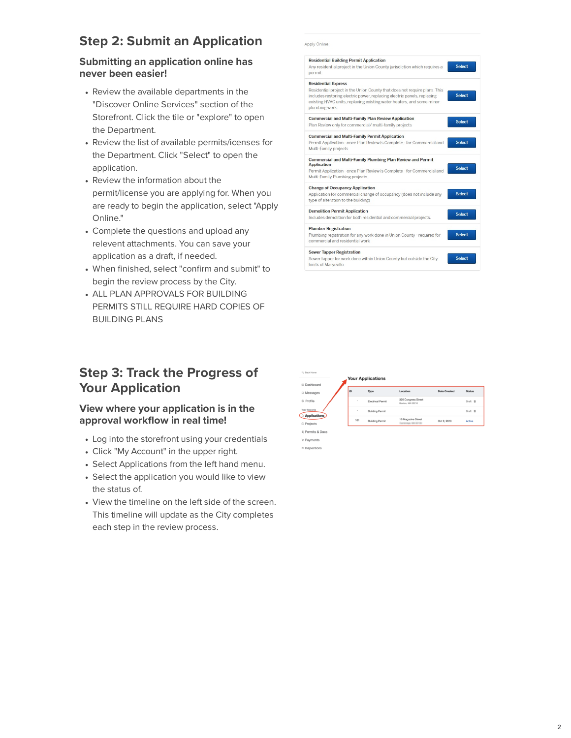# **Step 2: Submit an Application**

### **Submitting an application online has never been easier!**

- Review the available departments in the "Discover Online Services" section of the Storefront. Click the tile or "explore" to open the Department.
- Review the list of available permits/icenses for the Department. Click "Select" to open the application.
- Review the information about the permit/license you are applying for. When you are ready to begin the application, select "Apply Online."
- Complete the questions and upload any relevent attachments. You can save your application as a draft, if needed.
- When finished, select "confirm and submit" to begin the review process by the City.
- ALL PLAN APPROVALS FOR BUILDING PERMITS STILL REQUIRE HARD COPIES OF BUILDING PLANS

Apply Online

| <b>Residential Building Permit Application</b><br>Any residential project in the Union County jurisdiction which requires a<br>permit.                                                                                                                                        | <b>Select</b> |
|-------------------------------------------------------------------------------------------------------------------------------------------------------------------------------------------------------------------------------------------------------------------------------|---------------|
| <b>Residential Express</b><br>Residential project in the Union County that does not require plans. This<br>includes restoring electric power, replacing electric panels, replacing<br>existing HVAC units, replacing existing water heaters, and some minor<br>plumbing work. | <b>Select</b> |
| <b>Commercial and Multi-Family Plan Review Application</b><br>Plan Review only for commercial/multi-family projects                                                                                                                                                           | <b>Select</b> |
| <b>Commercial and Multi-Family Permit Application</b><br>Permit Application - once Plan Review is Complete - for Commercial and<br>Multi-Family projects                                                                                                                      | <b>Select</b> |
| Commercial and Multi-Family Plumbing Plan Review and Permit<br><b>Application</b><br>Permit Application - once Plan Review is Complete - for Commercial and<br>Multi-Family Plumbing projects                                                                                 | <b>Select</b> |
| <b>Change of Occupancy Application</b><br>Application for commercial change of occupancy (does not include any<br>type of alteration to the building)                                                                                                                         | <b>Select</b> |
| <b>Demolition Permit Application</b><br>Includes demolition for both residential and commercial projects.                                                                                                                                                                     | <b>Select</b> |
| <b>Plumber Registration</b><br>Plumbing registration for any work done in Union County - required for<br>commercial and residential work                                                                                                                                      | <b>Select</b> |
| <b>Sewer Tapper Registration</b><br>Sewer tapper for work done within Union County but outside the City<br>limits of Marysville                                                                                                                                               | <b>Select</b> |

# **Step 3: Track the Progress of Your Application**

**View where your application is in the approval workflow in real time!**



- Log into the storefront using your credentials
- Click "My Account" in the upper right.
- Select Applications from the left hand menu.
- Select the application you would like to view the status of.
- View the timeline on the left side of the screen. This timeline will update as the City completes each step in the review process.

| <sub>R</sub> Payments |  |
|-----------------------|--|
| S Inenactions         |  |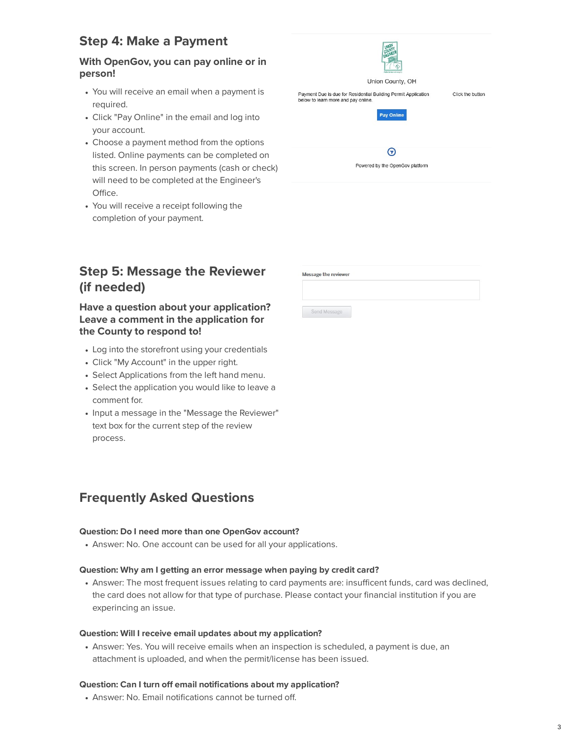# **Step 4: Make a Payment**

### **With OpenGov, you can pay online or in person!**

- You will receive an email when a payment is required.
- Click "Pay Online" in the email and log into your account.
- Choose a payment method from the options listed. Online payments can be completed on this screen. In person payments (cash or check) will need to be completed at the Engineer's Office.
- You will receive a receipt following the completion of your payment.

# **Step 5: Message the Reviewer (if needed)**

### **Have a question about your application? Leave a comment in the application for the County to respond to!**

- Log into the storefront using your credentials
- Click "My Account" in the upper right.
- Select Applications from the left hand menu.
- Select the application you would like to leave a comment for.
- Input a message in the "Message the Reviewer" text box for the current step of the review

| Public Service with im<br>Union County, OH                                                            |                  |
|-------------------------------------------------------------------------------------------------------|------------------|
| Payment Due is due for Residential Building Permit Application<br>below to learn more and pay online. | Click the button |
|                                                                                                       |                  |
| Pay Online                                                                                            |                  |
|                                                                                                       |                  |
| Powered by the OpenGov platform                                                                       |                  |
|                                                                                                       |                  |
|                                                                                                       |                  |

| <b>Message the reviewer</b> |  |  |
|-----------------------------|--|--|
|                             |  |  |
|                             |  |  |
| Send Message                |  |  |

process.

### **Frequently Asked Questions**

#### **Question: Do I need more than one OpenGov account?**

Answer: No. One account can be used for all your applications.

#### **Question: Why am I getting an error message when paying by credit card?**

Answer: The most frequent issues relating to card payments are: insufficent funds, card was declined, the card does not allow for that type of purchase. Please contact your financial institution if you are experincing an issue.

#### **Question: Will I receive email updates about my application?**

Answer: Yes. You will receive emails when an inspection is scheduled, a payment is due, an attachment is uploaded, and when the permit/license has been issued.

#### **Question: Can I turn off email notifications about my application?**

Answer: No. Email notifications cannot be turned off.